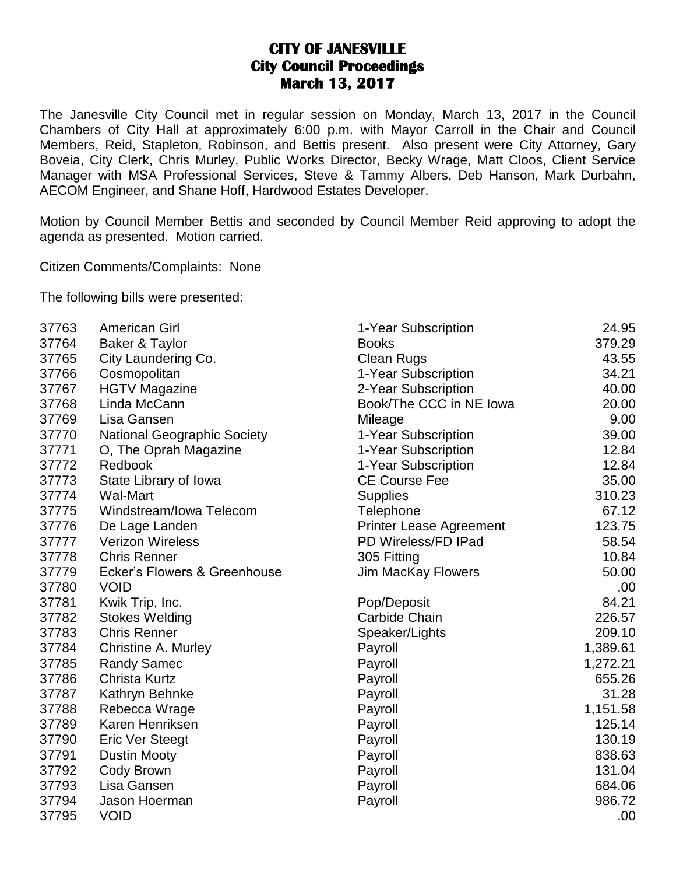## **CITY OF JANESVILLE City Council Proceedings March 13, 2017**

The Janesville City Council met in regular session on Monday, March 13, 2017 in the Council Chambers of City Hall at approximately 6:00 p.m. with Mayor Carroll in the Chair and Council Members, Reid, Stapleton, Robinson, and Bettis present. Also present were City Attorney, Gary Boveia, City Clerk, Chris Murley, Public Works Director, Becky Wrage, Matt Cloos, Client Service Manager with MSA Professional Services, Steve & Tammy Albers, Deb Hanson, Mark Durbahn, AECOM Engineer, and Shane Hoff, Hardwood Estates Developer.

Motion by Council Member Bettis and seconded by Council Member Reid approving to adopt the agenda as presented. Motion carried.

Citizen Comments/Complaints: None

The following bills were presented:

| 37763 | <b>American Girl</b>         | 1-Year Subscription            | 24.95    |
|-------|------------------------------|--------------------------------|----------|
| 37764 | Baker & Taylor               | <b>Books</b>                   | 379.29   |
| 37765 | City Laundering Co.          | <b>Clean Rugs</b>              | 43.55    |
| 37766 | Cosmopolitan                 | 1-Year Subscription            | 34.21    |
| 37767 | <b>HGTV Magazine</b>         | 2-Year Subscription            | 40.00    |
| 37768 | Linda McCann                 | Book/The CCC in NE Iowa        | 20.00    |
| 37769 | Lisa Gansen                  | Mileage                        | 9.00     |
| 37770 | National Geographic Society  | 1-Year Subscription            | 39.00    |
| 37771 | O, The Oprah Magazine        | 1-Year Subscription            | 12.84    |
| 37772 | Redbook                      | 1-Year Subscription            | 12.84    |
| 37773 | State Library of Iowa        | <b>CE Course Fee</b>           | 35.00    |
| 37774 | <b>Wal-Mart</b>              | <b>Supplies</b>                | 310.23   |
| 37775 | Windstream/Iowa Telecom      | Telephone                      | 67.12    |
| 37776 | De Lage Landen               | <b>Printer Lease Agreement</b> | 123.75   |
| 37777 | <b>Verizon Wireless</b>      | PD Wireless/FD IPad            | 58.54    |
| 37778 | <b>Chris Renner</b>          | 305 Fitting                    | 10.84    |
| 37779 | Ecker's Flowers & Greenhouse | <b>Jim MacKay Flowers</b>      | 50.00    |
| 37780 | <b>VOID</b>                  |                                | .00      |
| 37781 | Kwik Trip, Inc.              | Pop/Deposit                    | 84.21    |
| 37782 | <b>Stokes Welding</b>        | <b>Carbide Chain</b>           | 226.57   |
| 37783 | <b>Chris Renner</b>          | Speaker/Lights                 | 209.10   |
| 37784 | <b>Christine A. Murley</b>   | Payroll                        | 1,389.61 |
| 37785 | <b>Randy Samec</b>           | Payroll                        | 1,272.21 |
| 37786 | <b>Christa Kurtz</b>         | Payroll                        | 655.26   |
| 37787 | Kathryn Behnke               | Payroll                        | 31.28    |
| 37788 | Rebecca Wrage                | Payroll                        | 1,151.58 |
| 37789 | Karen Henriksen              | Payroll                        | 125.14   |
| 37790 | <b>Eric Ver Steegt</b>       | Payroll                        | 130.19   |
| 37791 | <b>Dustin Mooty</b>          | Payroll                        | 838.63   |
| 37792 | Cody Brown                   | Payroll                        | 131.04   |
| 37793 | Lisa Gansen                  | Payroll                        | 684.06   |
| 37794 | Jason Hoerman                | Payroll                        | 986.72   |
| 37795 | <b>VOID</b>                  |                                | .00      |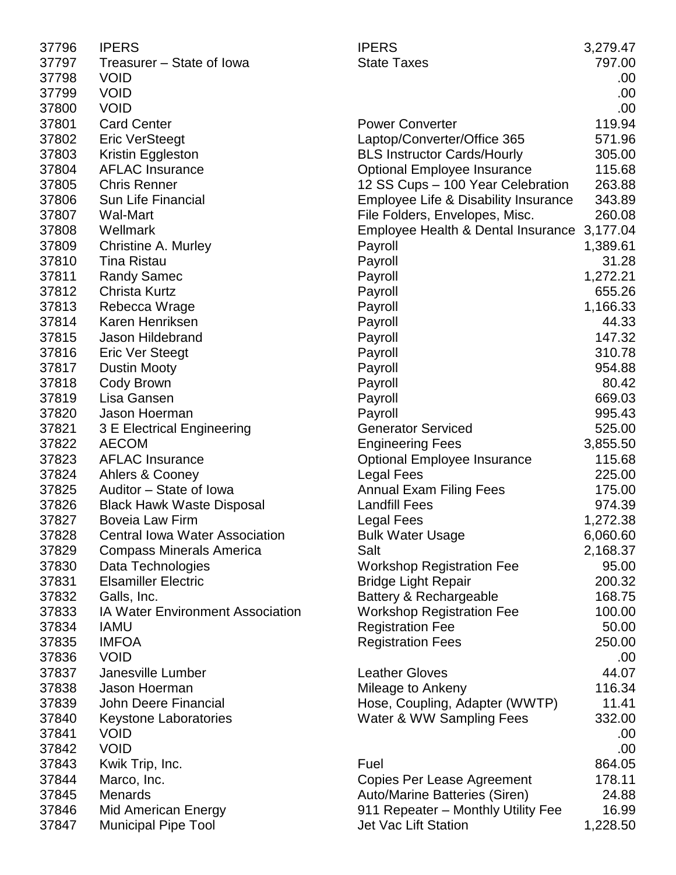| 37796 | <b>IPERS</b>                            | <b>IPERS</b>                         | 3,279.47 |
|-------|-----------------------------------------|--------------------------------------|----------|
| 37797 | Treasurer – State of Iowa               | <b>State Taxes</b>                   | 797.00   |
| 37798 | <b>VOID</b>                             |                                      | .00      |
| 37799 | <b>VOID</b>                             |                                      | .00      |
| 37800 | <b>VOID</b>                             |                                      | .00      |
| 37801 | <b>Card Center</b>                      | <b>Power Converter</b>               | 119.94   |
| 37802 | <b>Eric VerSteegt</b>                   | Laptop/Converter/Office 365          | 571.96   |
| 37803 | Kristin Eggleston                       | <b>BLS Instructor Cards/Hourly</b>   | 305.00   |
| 37804 | <b>AFLAC Insurance</b>                  | <b>Optional Employee Insurance</b>   | 115.68   |
| 37805 | <b>Chris Renner</b>                     | 12 SS Cups - 100 Year Celebration    | 263.88   |
| 37806 | <b>Sun Life Financial</b>               | Employee Life & Disability Insurance | 343.89   |
| 37807 | <b>Wal-Mart</b>                         | File Folders, Envelopes, Misc.       | 260.08   |
| 37808 | Wellmark                                | Employee Health & Dental Insurance   | 3,177.04 |
| 37809 | Christine A. Murley                     | Payroll                              | 1,389.61 |
| 37810 | <b>Tina Ristau</b>                      | Payroll                              | 31.28    |
| 37811 | <b>Randy Samec</b>                      | Payroll                              | 1,272.21 |
| 37812 | <b>Christa Kurtz</b>                    | Payroll                              | 655.26   |
| 37813 | Rebecca Wrage                           | Payroll                              | 1,166.33 |
| 37814 | Karen Henriksen                         | Payroll                              | 44.33    |
| 37815 | Jason Hildebrand                        | Payroll                              | 147.32   |
| 37816 | <b>Eric Ver Steegt</b>                  | Payroll                              | 310.78   |
| 37817 | <b>Dustin Mooty</b>                     | Payroll                              | 954.88   |
| 37818 | Cody Brown                              | Payroll                              | 80.42    |
| 37819 | Lisa Gansen                             | Payroll                              | 669.03   |
| 37820 | Jason Hoerman                           | Payroll                              | 995.43   |
| 37821 | 3 E Electrical Engineering              | <b>Generator Serviced</b>            | 525.00   |
| 37822 | <b>AECOM</b>                            | <b>Engineering Fees</b>              | 3,855.50 |
| 37823 | <b>AFLAC Insurance</b>                  | <b>Optional Employee Insurance</b>   | 115.68   |
| 37824 | Ahlers & Cooney                         | <b>Legal Fees</b>                    | 225.00   |
| 37825 | Auditor - State of Iowa                 | <b>Annual Exam Filing Fees</b>       | 175.00   |
| 37826 | <b>Black Hawk Waste Disposal</b>        | <b>Landfill Fees</b>                 | 974.39   |
| 37827 | Boveia Law Firm                         | Legal Fees                           | 1,272.38 |
| 37828 | <b>Central Iowa Water Association</b>   | <b>Bulk Water Usage</b>              | 6,060.60 |
| 37829 | <b>Compass Minerals America</b>         | Salt                                 | 2,168.37 |
| 37830 | Data Technologies                       | <b>Workshop Registration Fee</b>     | 95.00    |
| 37831 | <b>Elsamiller Electric</b>              | <b>Bridge Light Repair</b>           | 200.32   |
| 37832 | Galls, Inc.                             | Battery & Rechargeable               | 168.75   |
| 37833 | <b>IA Water Environment Association</b> | <b>Workshop Registration Fee</b>     | 100.00   |
| 37834 | <b>IAMU</b>                             | <b>Registration Fee</b>              | 50.00    |
| 37835 | <b>IMFOA</b>                            | <b>Registration Fees</b>             | 250.00   |
| 37836 | <b>VOID</b>                             |                                      | .00      |
| 37837 | Janesville Lumber                       | <b>Leather Gloves</b>                | 44.07    |
| 37838 | Jason Hoerman                           | Mileage to Ankeny                    | 116.34   |
| 37839 | <b>John Deere Financial</b>             | Hose, Coupling, Adapter (WWTP)       | 11.41    |
| 37840 | <b>Keystone Laboratories</b>            | Water & WW Sampling Fees             | 332.00   |
| 37841 | <b>VOID</b>                             |                                      | .00      |
| 37842 | <b>VOID</b>                             |                                      | .00      |
| 37843 | Kwik Trip, Inc.                         | Fuel                                 | 864.05   |
| 37844 | Marco, Inc.                             | Copies Per Lease Agreement           | 178.11   |
| 37845 | <b>Menards</b>                          | Auto/Marine Batteries (Siren)        | 24.88    |
| 37846 | <b>Mid American Energy</b>              | 911 Repeater - Monthly Utility Fee   | 16.99    |
| 37847 | <b>Municipal Pipe Tool</b>              | <b>Jet Vac Lift Station</b>          | 1,228.50 |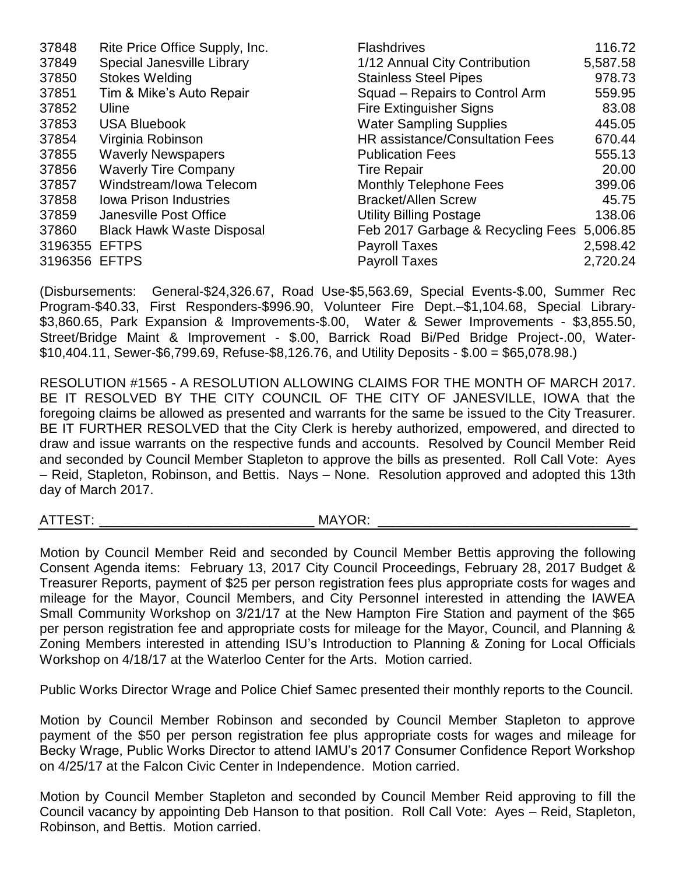| 37848   | Rite Price Office Supply, Inc.   | <b>Flashdrives</b>                     | 116.72   |
|---------|----------------------------------|----------------------------------------|----------|
| 37849   | Special Janesville Library       | 1/12 Annual City Contribution          | 5,587.58 |
| 37850   | <b>Stokes Welding</b>            | <b>Stainless Steel Pipes</b>           | 978.73   |
| 37851   | Tim & Mike's Auto Repair         | Squad - Repairs to Control Arm         | 559.95   |
| 37852   | Uline                            | <b>Fire Extinguisher Signs</b>         | 83.08    |
| 37853   | <b>USA Bluebook</b>              | <b>Water Sampling Supplies</b>         | 445.05   |
| 37854   | Virginia Robinson                | <b>HR</b> assistance/Consultation Fees | 670.44   |
| 37855   | <b>Waverly Newspapers</b>        | <b>Publication Fees</b>                | 555.13   |
| 37856   | <b>Waverly Tire Company</b>      | <b>Tire Repair</b>                     | 20.00    |
| 37857   | Windstream/Iowa Telecom          | <b>Monthly Telephone Fees</b>          | 399.06   |
| 37858   | <b>Iowa Prison Industries</b>    | <b>Bracket/Allen Screw</b>             | 45.75    |
| 37859   | Janesville Post Office           | <b>Utility Billing Postage</b>         | 138.06   |
| 37860   | <b>Black Hawk Waste Disposal</b> | Feb 2017 Garbage & Recycling Fees      | 5,006.85 |
| 3196355 | <b>EFTPS</b>                     | <b>Payroll Taxes</b>                   | 2,598.42 |
| 3196356 | <b>EFTPS</b>                     | <b>Payroll Taxes</b>                   | 2,720.24 |

(Disbursements: General-\$24,326.67, Road Use-\$5,563.69, Special Events-\$.00, Summer Rec Program-\$40.33, First Responders-\$996.90, Volunteer Fire Dept.–\$1,104.68, Special Library- \$3,860.65, Park Expansion & Improvements-\$.00, Water & Sewer Improvements - \$3,855.50, Street/Bridge Maint & Improvement - \$.00, Barrick Road Bi/Ped Bridge Project-.00, Water- \$10,404.11, Sewer-\$6,799.69, Refuse-\$8,126.76, and Utility Deposits - \$.00 = \$65,078.98.)

RESOLUTION #1565 - A RESOLUTION ALLOWING CLAIMS FOR THE MONTH OF MARCH 2017. BE IT RESOLVED BY THE CITY COUNCIL OF THE CITY OF JANESVILLE, IOWA that the foregoing claims be allowed as presented and warrants for the same be issued to the City Treasurer. BE IT FURTHER RESOLVED that the City Clerk is hereby authorized, empowered, and directed to draw and issue warrants on the respective funds and accounts. Resolved by Council Member Reid and seconded by Council Member Stapleton to approve the bills as presented. Roll Call Vote: Ayes – Reid, Stapleton, Robinson, and Bettis. Nays – None. Resolution approved and adopted this 13th day of March 2017.

ATTEST: ATTEST:

Motion by Council Member Reid and seconded by Council Member Bettis approving the following Consent Agenda items: February 13, 2017 City Council Proceedings, February 28, 2017 Budget & Treasurer Reports, payment of \$25 per person registration fees plus appropriate costs for wages and mileage for the Mayor, Council Members, and City Personnel interested in attending the IAWEA Small Community Workshop on 3/21/17 at the New Hampton Fire Station and payment of the \$65 per person registration fee and appropriate costs for mileage for the Mayor, Council, and Planning & Zoning Members interested in attending ISU's Introduction to Planning & Zoning for Local Officials Workshop on 4/18/17 at the Waterloo Center for the Arts. Motion carried.

Public Works Director Wrage and Police Chief Samec presented their monthly reports to the Council.

Motion by Council Member Robinson and seconded by Council Member Stapleton to approve payment of the \$50 per person registration fee plus appropriate costs for wages and mileage for Becky Wrage, Public Works Director to attend IAMU's 2017 Consumer Confidence Report Workshop on 4/25/17 at the Falcon Civic Center in Independence. Motion carried.

Motion by Council Member Stapleton and seconded by Council Member Reid approving to fill the Council vacancy by appointing Deb Hanson to that position. Roll Call Vote: Ayes - Reid, Stapleton, Robinson, and Bettis. Motion carried.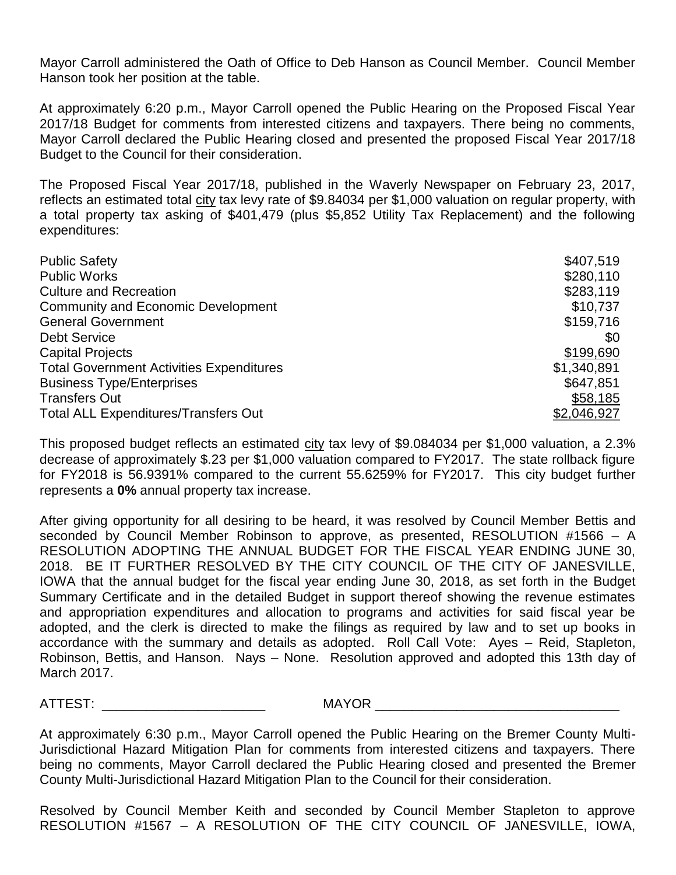Mayor Carroll administered the Oath of Office to Deb Hanson as Council Member. Council Member Hanson took her position at the table.

At approximately 6:20 p.m., Mayor Carroll opened the Public Hearing on the Proposed Fiscal Year 2017/18 Budget for comments from interested citizens and taxpayers. There being no comments, Mayor Carroll declared the Public Hearing closed and presented the proposed Fiscal Year 2017/18 Budget to the Council for their consideration.

The Proposed Fiscal Year 2017/18, published in the Waverly Newspaper on February 23, 2017, reflects an estimated total city tax levy rate of \$9.84034 per \$1,000 valuation on regular property, with a total property tax asking of \$401,479 (plus \$5,852 Utility Tax Replacement) and the following expenditures:

| <b>Public Safety</b>                            | \$407,519   |
|-------------------------------------------------|-------------|
| <b>Public Works</b>                             | \$280,110   |
| <b>Culture and Recreation</b>                   | \$283,119   |
| <b>Community and Economic Development</b>       | \$10,737    |
| <b>General Government</b>                       | \$159,716   |
| <b>Debt Service</b>                             | \$0         |
| <b>Capital Projects</b>                         | \$199,690   |
| <b>Total Government Activities Expenditures</b> | \$1,340,891 |
| <b>Business Type/Enterprises</b>                | \$647,851   |
| <b>Transfers Out</b>                            | \$58,185    |
| <b>Total ALL Expenditures/Transfers Out</b>     | \$2,046,927 |

This proposed budget reflects an estimated city tax levy of \$9.084034 per \$1,000 valuation, a 2.3% decrease of approximately \$.23 per \$1,000 valuation compared to FY2017. The state rollback figure for FY2018 is 56.9391% compared to the current 55.6259% for FY2017. This city budget further represents a **0%** annual property tax increase.

After giving opportunity for all desiring to be heard, it was resolved by Council Member Bettis and seconded by Council Member Robinson to approve, as presented, RESOLUTION #1566 – A RESOLUTION ADOPTING THE ANNUAL BUDGET FOR THE FISCAL YEAR ENDING JUNE 30, 2018. BE IT FURTHER RESOLVED BY THE CITY COUNCIL OF THE CITY OF JANESVILLE, IOWA that the annual budget for the fiscal year ending June 30, 2018, as set forth in the Budget Summary Certificate and in the detailed Budget in support thereof showing the revenue estimates and appropriation expenditures and allocation to programs and activities for said fiscal year be adopted, and the clerk is directed to make the filings as required by law and to set up books in accordance with the summary and details as adopted. Roll Call Vote: Ayes – Reid, Stapleton, Robinson, Bettis, and Hanson. Nays – None. Resolution approved and adopted this 13th day of March 2017.

ATTEST: \_\_\_\_\_\_\_\_\_\_\_\_\_\_\_\_\_\_\_\_\_\_ MAYOR \_\_\_\_\_\_\_\_\_\_\_\_\_\_\_\_\_\_\_\_\_\_\_\_\_\_\_\_\_\_\_\_\_

At approximately 6:30 p.m., Mayor Carroll opened the Public Hearing on the Bremer County Multi-Jurisdictional Hazard Mitigation Plan for comments from interested citizens and taxpayers. There being no comments, Mayor Carroll declared the Public Hearing closed and presented the Bremer County Multi-Jurisdictional Hazard Mitigation Plan to the Council for their consideration.

Resolved by Council Member Keith and seconded by Council Member Stapleton to approve RESOLUTION #1567 – A RESOLUTION OF THE CITY COUNCIL OF JANESVILLE, IOWA,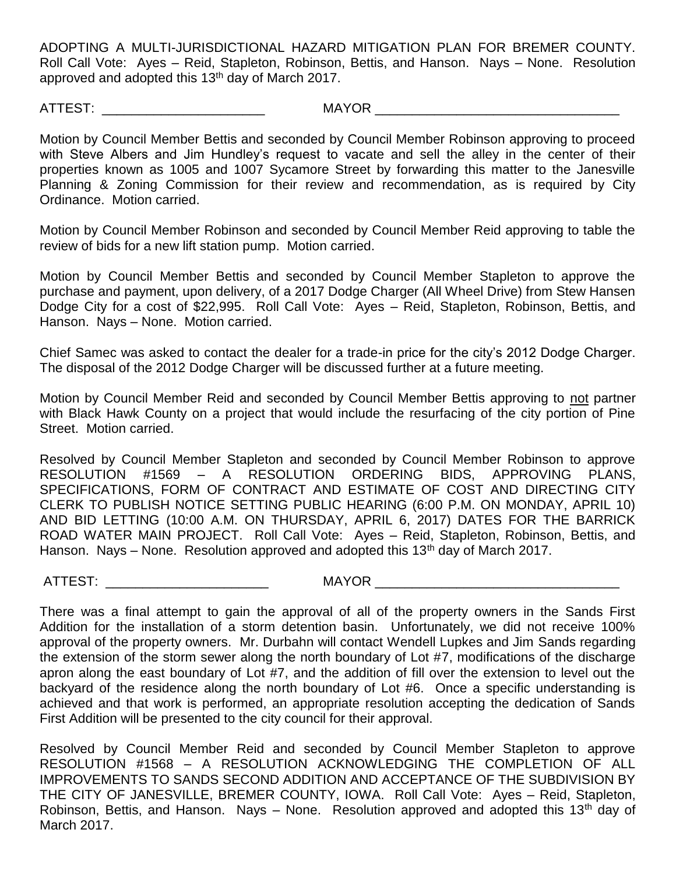ADOPTING A MULTI-JURISDICTIONAL HAZARD MITIGATION PLAN FOR BREMER COUNTY. Roll Call Vote: Ayes – Reid, Stapleton, Robinson, Bettis, and Hanson. Nays – None. Resolution approved and adopted this 13<sup>th</sup> day of March 2017.

ATTEST: \_\_\_\_\_\_\_\_\_\_\_\_\_\_\_\_\_\_\_\_\_\_ MAYOR \_\_\_\_\_\_\_\_\_\_\_\_\_\_\_\_\_\_\_\_\_\_\_\_\_\_\_\_\_\_\_\_\_

Motion by Council Member Bettis and seconded by Council Member Robinson approving to proceed with Steve Albers and Jim Hundley's request to vacate and sell the alley in the center of their properties known as 1005 and 1007 Sycamore Street by forwarding this matter to the Janesville Planning & Zoning Commission for their review and recommendation, as is required by City Ordinance. Motion carried.

Motion by Council Member Robinson and seconded by Council Member Reid approving to table the review of bids for a new lift station pump. Motion carried.

Motion by Council Member Bettis and seconded by Council Member Stapleton to approve the purchase and payment, upon delivery, of a 2017 Dodge Charger (All Wheel Drive) from Stew Hansen Dodge City for a cost of \$22,995. Roll Call Vote: Ayes – Reid, Stapleton, Robinson, Bettis, and Hanson. Nays – None. Motion carried.

Chief Samec was asked to contact the dealer for a trade-in price for the city's 2012 Dodge Charger. The disposal of the 2012 Dodge Charger will be discussed further at a future meeting.

Motion by Council Member Reid and seconded by Council Member Bettis approving to not partner with Black Hawk County on a project that would include the resurfacing of the city portion of Pine Street. Motion carried.

Resolved by Council Member Stapleton and seconded by Council Member Robinson to approve RESOLUTION #1569 – A RESOLUTION ORDERING BIDS, APPROVING PLANS, SPECIFICATIONS, FORM OF CONTRACT AND ESTIMATE OF COST AND DIRECTING CITY CLERK TO PUBLISH NOTICE SETTING PUBLIC HEARING (6:00 P.M. ON MONDAY, APRIL 10) AND BID LETTING (10:00 A.M. ON THURSDAY, APRIL 6, 2017) DATES FOR THE BARRICK ROAD WATER MAIN PROJECT. Roll Call Vote: Ayes – Reid, Stapleton, Robinson, Bettis, and Hanson. Nays – None. Resolution approved and adopted this  $13<sup>th</sup>$  day of March 2017.

ATTEST: \_\_\_\_\_\_\_\_\_\_\_\_\_\_\_\_\_\_\_\_\_\_ MAYOR \_\_\_\_\_\_\_\_\_\_\_\_\_\_\_\_\_\_\_\_\_\_\_\_\_\_\_\_\_\_\_\_\_

There was a final attempt to gain the approval of all of the property owners in the Sands First Addition for the installation of a storm detention basin. Unfortunately, we did not receive 100% approval of the property owners. Mr. Durbahn will contact Wendell Lupkes and Jim Sands regarding the extension of the storm sewer along the north boundary of Lot #7, modifications of the discharge apron along the east boundary of Lot #7, and the addition of fill over the extension to level out the backyard of the residence along the north boundary of Lot #6. Once a specific understanding is achieved and that work is performed, an appropriate resolution accepting the dedication of Sands First Addition will be presented to the city council for their approval.

Resolved by Council Member Reid and seconded by Council Member Stapleton to approve RESOLUTION #1568 – A RESOLUTION ACKNOWLEDGING THE COMPLETION OF ALL IMPROVEMENTS TO SANDS SECOND ADDITION AND ACCEPTANCE OF THE SUBDIVISION BY THE CITY OF JANESVILLE, BREMER COUNTY, IOWA. Roll Call Vote: Ayes – Reid, Stapleton, Robinson, Bettis, and Hanson. Nays – None. Resolution approved and adopted this 13<sup>th</sup> day of March 2017.